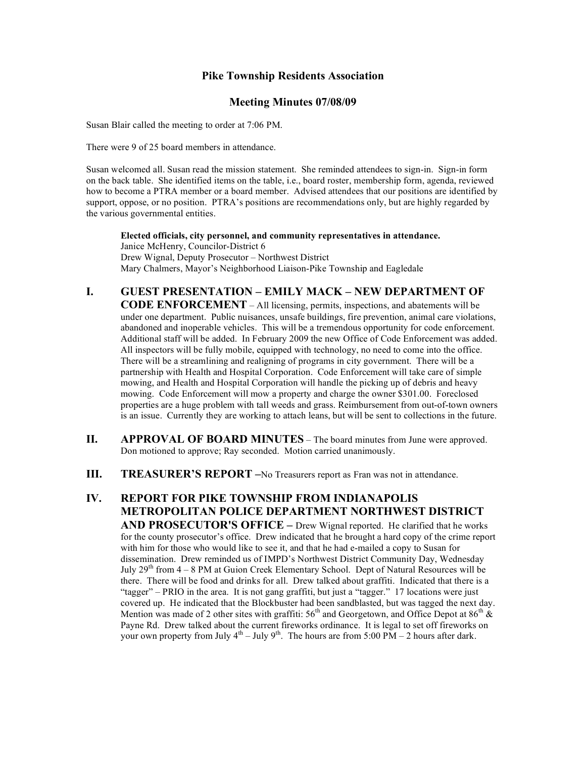### **Pike Township Residents Association**

#### **Meeting Minutes 07/08/09**

Susan Blair called the meeting to order at 7:06 PM.

There were 9 of 25 board members in attendance.

Susan welcomed all. Susan read the mission statement. She reminded attendees to sign-in. Sign-in form on the back table. She identified items on the table, i.e., board roster, membership form, agenda, reviewed how to become a PTRA member or a board member. Advised attendees that our positions are identified by support, oppose, or no position. PTRA's positions are recommendations only, but are highly regarded by the various governmental entities.

**Elected officials, city personnel, and community representatives in attendance.** Janice McHenry, Councilor-District 6 Drew Wignal, Deputy Prosecutor – Northwest District Mary Chalmers, Mayor's Neighborhood Liaison-Pike Township and Eagledale

## **I. GUEST PRESENTATION – EMILY MACK – NEW DEPARTMENT OF CODE ENFORCEMENT** – All licensing, permits, inspections, and abatements will be

under one department. Public nuisances, unsafe buildings, fire prevention, animal care violations, abandoned and inoperable vehicles. This will be a tremendous opportunity for code enforcement. Additional staff will be added. In February 2009 the new Office of Code Enforcement was added. All inspectors will be fully mobile, equipped with technology, no need to come into the office. There will be a streamlining and realigning of programs in city government. There will be a partnership with Health and Hospital Corporation. Code Enforcement will take care of simple mowing, and Health and Hospital Corporation will handle the picking up of debris and heavy mowing. Code Enforcement will mow a property and charge the owner \$301.00. Foreclosed properties are a huge problem with tall weeds and grass. Reimbursement from out-of-town owners is an issue. Currently they are working to attach leans, but will be sent to collections in the future.

- **II. APPROVAL OF BOARD MINUTES** The board minutes from June were approved. Don motioned to approve; Ray seconded. Motion carried unanimously.
- **III. TREASURER'S REPORT** –No Treasurers report as Fran was not in attendance.

# **IV. REPORT FOR PIKE TOWNSHIP FROM INDIANAPOLIS METROPOLITAN POLICE DEPARTMENT NORTHWEST DISTRICT AND PROSECUTOR'S OFFICE –** Drew Wignal reported. He clarified that he works

for the county prosecutor's office. Drew indicated that he brought a hard copy of the crime report with him for those who would like to see it, and that he had e-mailed a copy to Susan for dissemination. Drew reminded us of IMPD's Northwest District Community Day, Wednesday July  $29<sup>th</sup>$  from  $4 - 8$  PM at Guion Creek Elementary School. Dept of Natural Resources will be there. There will be food and drinks for all. Drew talked about graffiti. Indicated that there is a "tagger" – PRIO in the area. It is not gang graffiti, but just a "tagger." 17 locations were just covered up. He indicated that the Blockbuster had been sandblasted, but was tagged the next day. Mention was made of 2 other sites with graffiti:  $56<sup>th</sup>$  and Georgetown, and Office Depot at  $86<sup>th</sup>$  & Payne Rd. Drew talked about the current fireworks ordinance. It is legal to set off fireworks on your own property from July  $4<sup>th</sup> -$  July  $9<sup>th</sup>$ . The hours are from 5:00 PM – 2 hours after dark.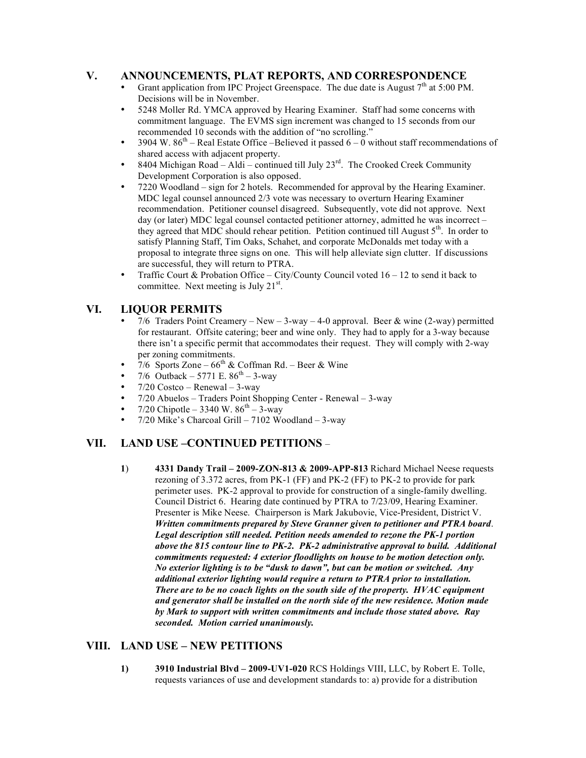## **V. ANNOUNCEMENTS, PLAT REPORTS, AND CORRESPONDENCE**

- Grant application from IPC Project Greenspace. The due date is August  $7<sup>th</sup>$  at 5:00 PM. Decisions will be in November.
- 5248 Moller Rd. YMCA approved by Hearing Examiner. Staff had some concerns with commitment language. The EVMS sign increment was changed to 15 seconds from our recommended 10 seconds with the addition of "no scrolling."
- 3904 W.  $86<sup>th</sup>$  Real Estate Office –Believed it passed  $6-0$  without staff recommendations of shared access with adjacent property.
- 8404 Michigan Road Aldi continued till July  $23^{rd}$ . The Crooked Creek Community Development Corporation is also opposed.
- 7220 Woodland sign for 2 hotels. Recommended for approval by the Hearing Examiner. MDC legal counsel announced 2/3 vote was necessary to overturn Hearing Examiner recommendation. Petitioner counsel disagreed. Subsequently, vote did not approve. Next day (or later) MDC legal counsel contacted petitioner attorney, admitted he was incorrect – they agreed that MDC should rehear petition. Petition continued till August  $5<sup>th</sup>$ . In order to satisfy Planning Staff, Tim Oaks, Schahet, and corporate McDonalds met today with a proposal to integrate three signs on one. This will help alleviate sign clutter. If discussions are successful, they will return to PTRA.
- Traffic Court & Probation Office City/County Council voted 16 12 to send it back to committee. Next meeting is July  $21<sup>st</sup>$ .

## **VI. LIQUOR PERMITS**

- 7/6 Traders Point Creamery New  $3$ -way  $4$ -0 approval. Beer & wine (2-way) permitted for restaurant. Offsite catering; beer and wine only. They had to apply for a 3-way because there isn't a specific permit that accommodates their request. They will comply with 2-way per zoning commitments.
- 7/6 Sports Zone 66<sup>th</sup> & Coffman Rd. Beer & Wine<br>• 7/6 Outback 5771 E. 86<sup>th</sup> 3-way
- 7/6 Outback 5771 E.  $86^{th}$  3-way
- $7/20$  Costco Renewal 3-way
- 7/20 Abuelos Traders Point Shopping Center Renewal 3-way
- 7/20 Chipotle 3340 W.  $86^{th}$  3-way
- 7/20 Mike's Charcoal Grill 7102 Woodland 3-way

# **VII. LAND USE –CONTINUED PETITIONS** –

**1**) **4331 Dandy Trail – 2009-ZON-813 & 2009-APP-813** Richard Michael Neese requests rezoning of 3.372 acres, from PK-1 (FF) and PK-2 (FF) to PK-2 to provide for park perimeter uses. PK-2 approval to provide for construction of a single-family dwelling. Council District 6. Hearing date continued by PTRA to 7/23/09, Hearing Examiner. Presenter is Mike Neese. Chairperson is Mark Jakubovie, Vice-President, District V. *Written commitments prepared by Steve Granner given to petitioner and PTRA board*. *Legal description still needed. Petition needs amended to rezone the PK-1 portion above the 815 contour line to PK-2. PK-2 administrative approval to build. Additional commitments requested: 4 exterior floodlights on house to be motion detection only. No exterior lighting is to be "dusk to dawn", but can be motion or switched. Any additional exterior lighting would require a return to PTRA prior to installation. There are to be no coach lights on the south side of the property. HVAC equipment and generator shall be installed on the north side of the new residence. Motion made by Mark to support with written commitments and include those stated above. Ray seconded. Motion carried unanimously.* 

## **VIII. LAND USE – NEW PETITIONS**

**1) 3910 Industrial Blvd – 2009-UV1-020** RCS Holdings VIII, LLC, by Robert E. Tolle, requests variances of use and development standards to: a) provide for a distribution